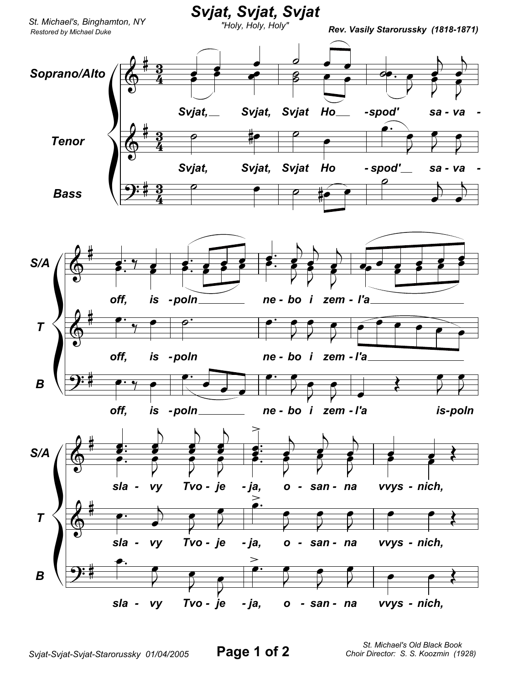